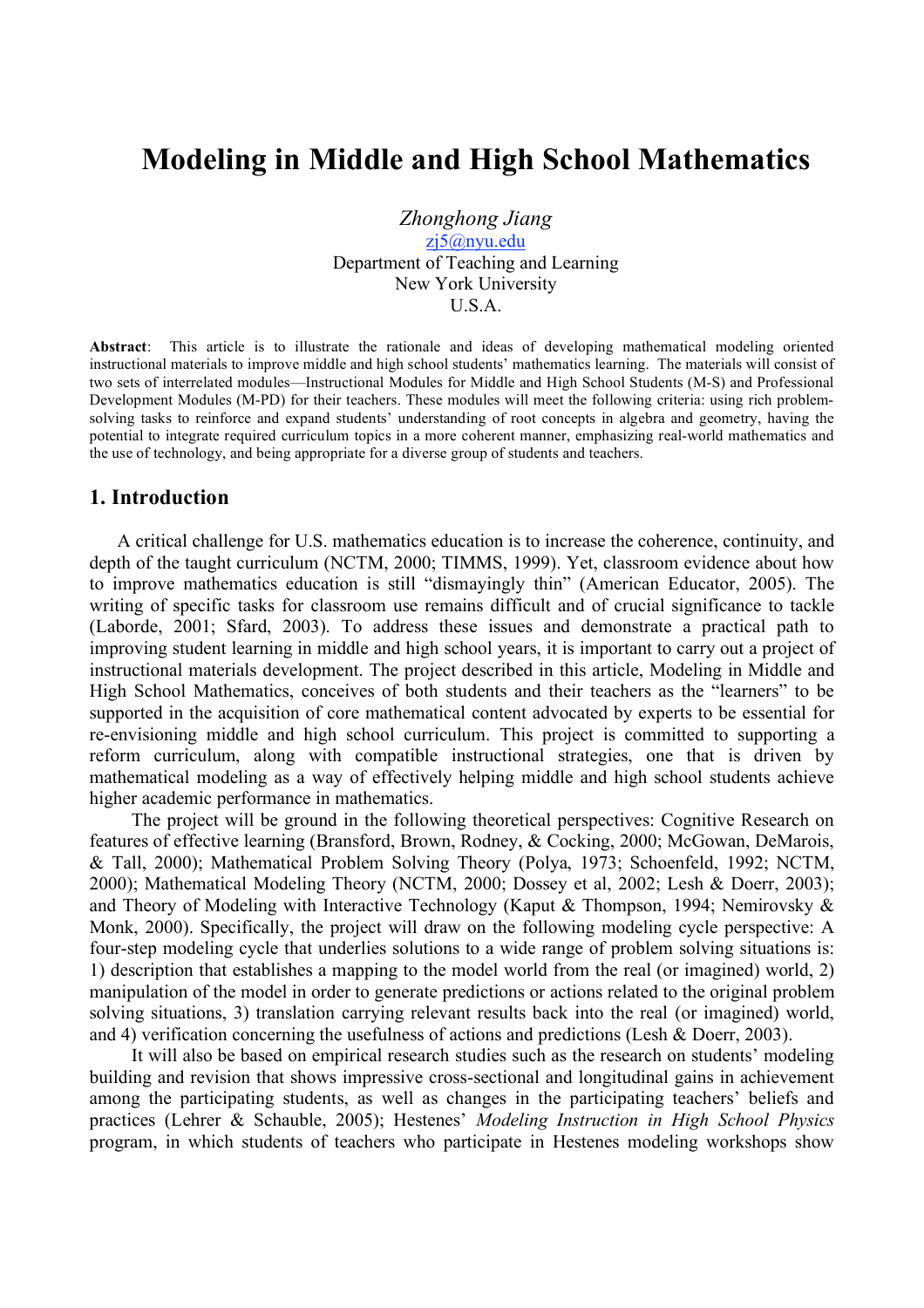# **Modeling in Middle and High School Mathematics**

*Zhonghong Jiang* zj5@nyu.edu Department of Teaching and Learning New York University U.S.A.

**Abstract**: This article is to illustrate the rationale and ideas of developing mathematical modeling oriented instructional materials to improve middle and high school students' mathematics learning. The materials will consist of two sets of interrelated modules—Instructional Modules for Middle and High School Students (M-S) and Professional Development Modules (M-PD) for their teachers. These modules will meet the following criteria: using rich problemsolving tasks to reinforce and expand students' understanding of root concepts in algebra and geometry, having the potential to integrate required curriculum topics in a more coherent manner, emphasizing real-world mathematics and the use of technology, and being appropriate for a diverse group of students and teachers.

#### **1. Introduction**

A critical challenge for U.S. mathematics education is to increase the coherence, continuity, and depth of the taught curriculum (NCTM, 2000; TIMMS, 1999). Yet, classroom evidence about how to improve mathematics education is still "dismayingly thin" (American Educator, 2005). The writing of specific tasks for classroom use remains difficult and of crucial significance to tackle (Laborde, 2001; Sfard, 2003). To address these issues and demonstrate a practical path to improving student learning in middle and high school years, it is important to carry out a project of instructional materials development. The project described in this article, Modeling in Middle and High School Mathematics, conceives of both students and their teachers as the "learners" to be supported in the acquisition of core mathematical content advocated by experts to be essential for re-envisioning middle and high school curriculum. This project is committed to supporting a reform curriculum, along with compatible instructional strategies, one that is driven by mathematical modeling as a way of effectively helping middle and high school students achieve higher academic performance in mathematics.

The project will be ground in the following theoretical perspectives: Cognitive Research on features of effective learning (Bransford, Brown, Rodney, & Cocking, 2000; McGowan, DeMarois, & Tall, 2000); Mathematical Problem Solving Theory (Polya, 1973; Schoenfeld, 1992; NCTM, 2000); Mathematical Modeling Theory (NCTM, 2000; Dossey et al, 2002; Lesh & Doerr, 2003); and Theory of Modeling with Interactive Technology (Kaput & Thompson, 1994; Nemirovsky & Monk, 2000). Specifically, the project will draw on the following modeling cycle perspective: A four-step modeling cycle that underlies solutions to a wide range of problem solving situations is: 1) description that establishes a mapping to the model world from the real (or imagined) world, 2) manipulation of the model in order to generate predictions or actions related to the original problem solving situations, 3) translation carrying relevant results back into the real (or imagined) world, and 4) verification concerning the usefulness of actions and predictions (Lesh & Doerr, 2003).

It will also be based on empirical research studies such as the research on students' modeling building and revision that shows impressive cross-sectional and longitudinal gains in achievement among the participating students, as well as changes in the participating teachers' beliefs and practices (Lehrer & Schauble, 2005); Hestenes' *Modeling Instruction in High School Physics* program, in which students of teachers who participate in Hestenes modeling workshops show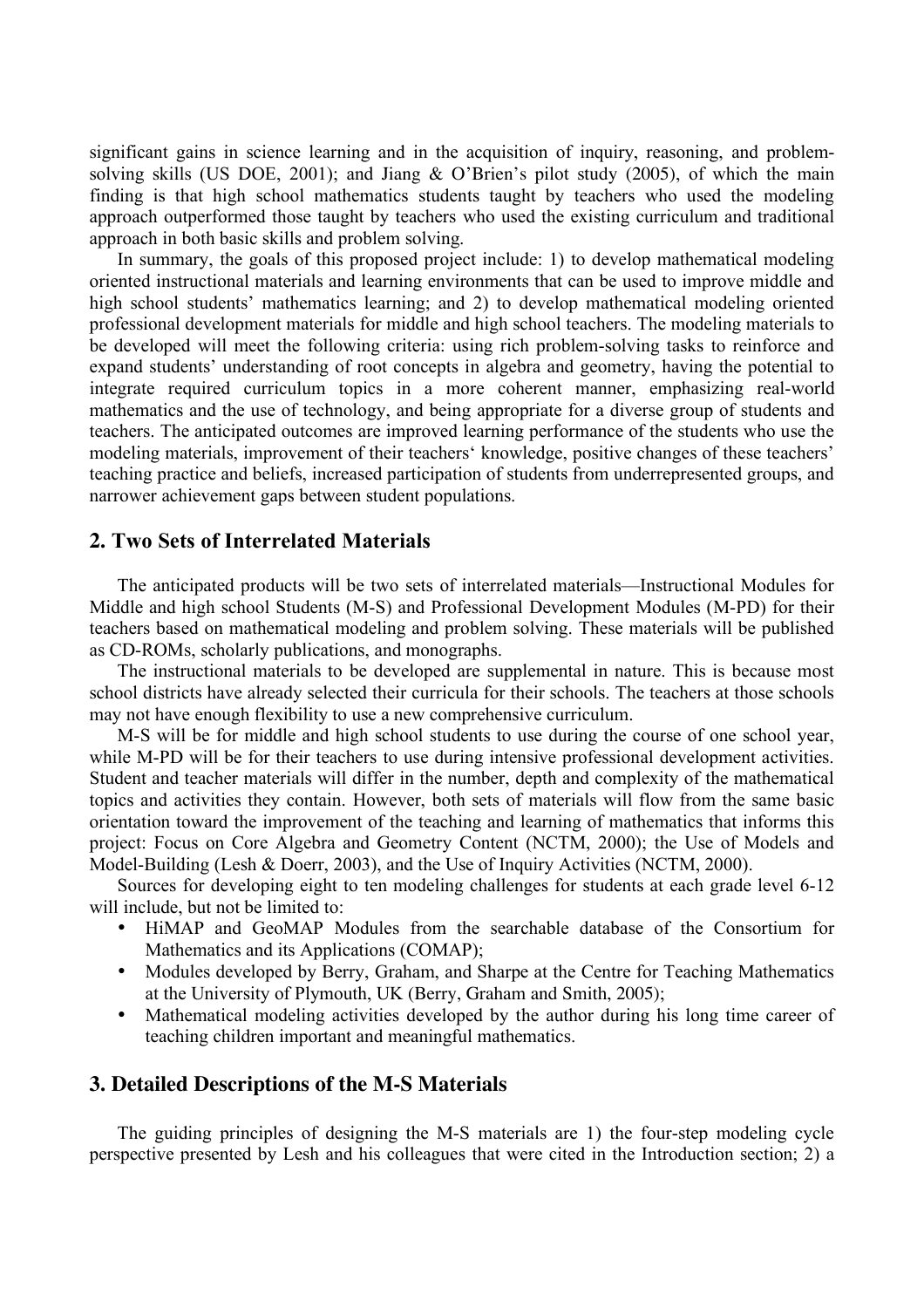significant gains in science learning and in the acquisition of inquiry, reasoning, and problemsolving skills (US DOE, 2001); and Jiang & O'Brien's pilot study (2005), of which the main finding is that high school mathematics students taught by teachers who used the modeling approach outperformed those taught by teachers who used the existing curriculum and traditional approach in both basic skills and problem solving.

In summary, the goals of this proposed project include: 1) to develop mathematical modeling oriented instructional materials and learning environments that can be used to improve middle and high school students' mathematics learning; and 2) to develop mathematical modeling oriented professional development materials for middle and high school teachers. The modeling materials to be developed will meet the following criteria: using rich problem-solving tasks to reinforce and expand students' understanding of root concepts in algebra and geometry, having the potential to integrate required curriculum topics in a more coherent manner, emphasizing real-world mathematics and the use of technology, and being appropriate for a diverse group of students and teachers. The anticipated outcomes are improved learning performance of the students who use the modeling materials, improvement of their teachers' knowledge, positive changes of these teachers' teaching practice and beliefs, increased participation of students from underrepresented groups, and narrower achievement gaps between student populations.

## **2. Two Sets of Interrelated Materials**

The anticipated products will be two sets of interrelated materials—Instructional Modules for Middle and high school Students (M-S) and Professional Development Modules (M-PD) for their teachers based on mathematical modeling and problem solving. These materials will be published as CD-ROMs, scholarly publications, and monographs.

The instructional materials to be developed are supplemental in nature. This is because most school districts have already selected their curricula for their schools. The teachers at those schools may not have enough flexibility to use a new comprehensive curriculum.

M-S will be for middle and high school students to use during the course of one school year, while M-PD will be for their teachers to use during intensive professional development activities. Student and teacher materials will differ in the number, depth and complexity of the mathematical topics and activities they contain. However, both sets of materials will flow from the same basic orientation toward the improvement of the teaching and learning of mathematics that informs this project: Focus on Core Algebra and Geometry Content (NCTM, 2000); the Use of Models and Model-Building (Lesh & Doerr, 2003), and the Use of Inquiry Activities (NCTM, 2000).

Sources for developing eight to ten modeling challenges for students at each grade level 6-12 will include, but not be limited to:

- HiMAP and GeoMAP Modules from the searchable database of the Consortium for Mathematics and its Applications (COMAP);
- Modules developed by Berry, Graham, and Sharpe at the Centre for Teaching Mathematics at the University of Plymouth, UK (Berry, Graham and Smith, 2005);
- Mathematical modeling activities developed by the author during his long time career of teaching children important and meaningful mathematics.

# **3. Detailed Descriptions of the M-S Materials**

The guiding principles of designing the M-S materials are 1) the four-step modeling cycle perspective presented by Lesh and his colleagues that were cited in the Introduction section; 2) a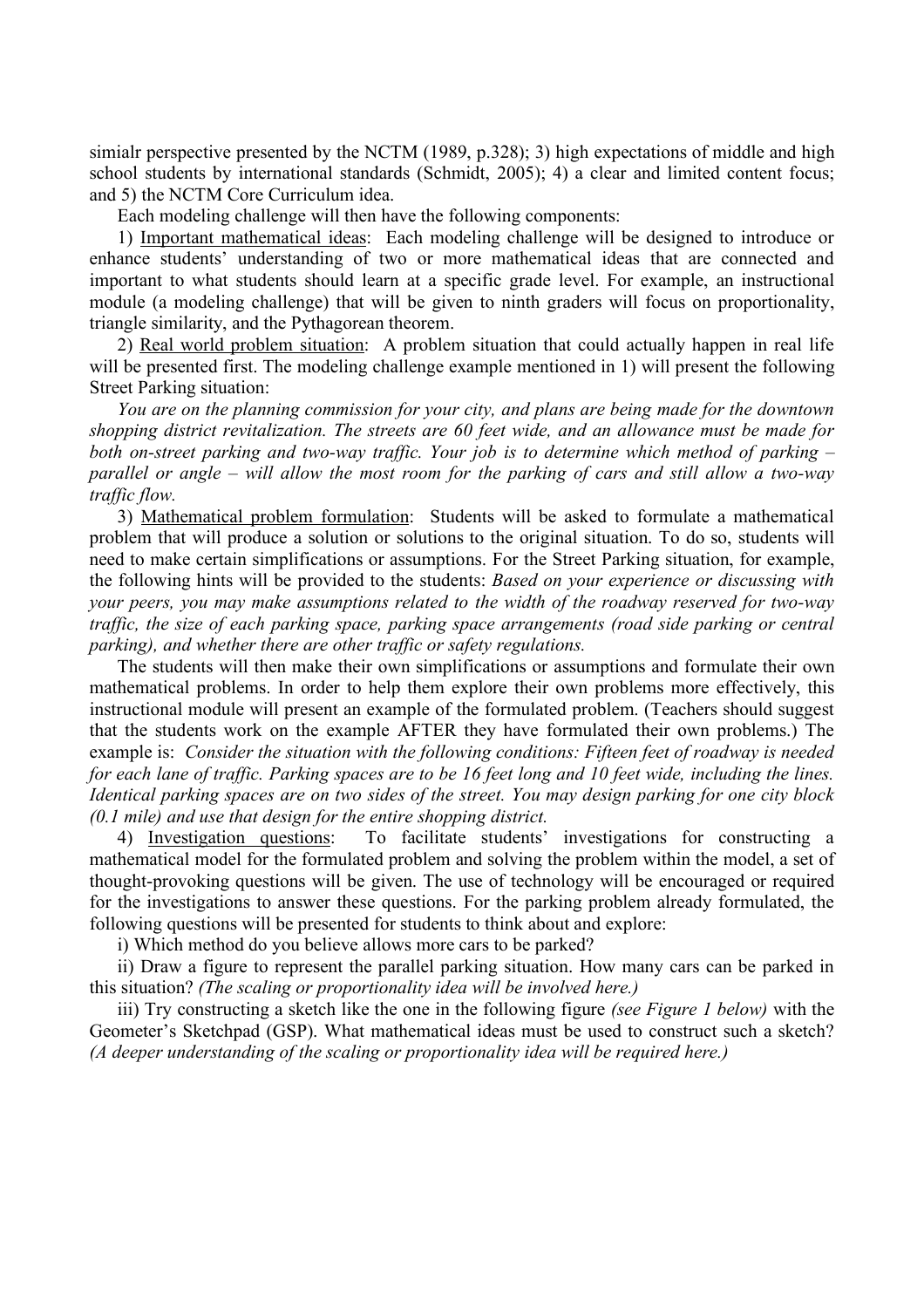simialr perspective presented by the NCTM (1989, p.328); 3) high expectations of middle and high school students by international standards (Schmidt, 2005); 4) a clear and limited content focus; and 5) the NCTM Core Curriculum idea.

Each modeling challenge will then have the following components:

1) Important mathematical ideas: Each modeling challenge will be designed to introduce or enhance students' understanding of two or more mathematical ideas that are connected and important to what students should learn at a specific grade level. For example, an instructional module (a modeling challenge) that will be given to ninth graders will focus on proportionality, triangle similarity, and the Pythagorean theorem.

2) Real world problem situation: A problem situation that could actually happen in real life will be presented first. The modeling challenge example mentioned in 1) will present the following Street Parking situation:

*You are on the planning commission for your city, and plans are being made for the downtown shopping district revitalization. The streets are 60 feet wide, and an allowance must be made for both on-street parking and two-way traffic. Your job is to determine which method of parking – parallel or angle – will allow the most room for the parking of cars and still allow a two-way traffic flow.*

3) Mathematical problem formulation: Students will be asked to formulate a mathematical problem that will produce a solution or solutions to the original situation. To do so, students will need to make certain simplifications or assumptions. For the Street Parking situation, for example, the following hints will be provided to the students: *Based on your experience or discussing with your peers, you may make assumptions related to the width of the roadway reserved for two-way traffic, the size of each parking space, parking space arrangements (road side parking or central parking), and whether there are other traffic or safety regulations.*

The students will then make their own simplifications or assumptions and formulate their own mathematical problems. In order to help them explore their own problems more effectively, this instructional module will present an example of the formulated problem. (Teachers should suggest that the students work on the example AFTER they have formulated their own problems.) The example is: *Consider the situation with the following conditions: Fifteen feet of roadway is needed for each lane of traffic. Parking spaces are to be 16 feet long and 10 feet wide, including the lines. Identical parking spaces are on two sides of the street. You may design parking for one city block (0.1 mile) and use that design for the entire shopping district.*

4) Investigation questions: To facilitate students' investigations for constructing a mathematical model for the formulated problem and solving the problem within the model, a set of thought-provoking questions will be given. The use of technology will be encouraged or required for the investigations to answer these questions. For the parking problem already formulated, the following questions will be presented for students to think about and explore:

i) Which method do you believe allows more cars to be parked?

ii) Draw a figure to represent the parallel parking situation. How many cars can be parked in this situation? *(The scaling or proportionality idea will be involved here.)*

iii) Try constructing a sketch like the one in the following figure *(see Figure 1 below)* with the Geometer's Sketchpad (GSP). What mathematical ideas must be used to construct such a sketch? *(A deeper understanding of the scaling or proportionality idea will be required here.)*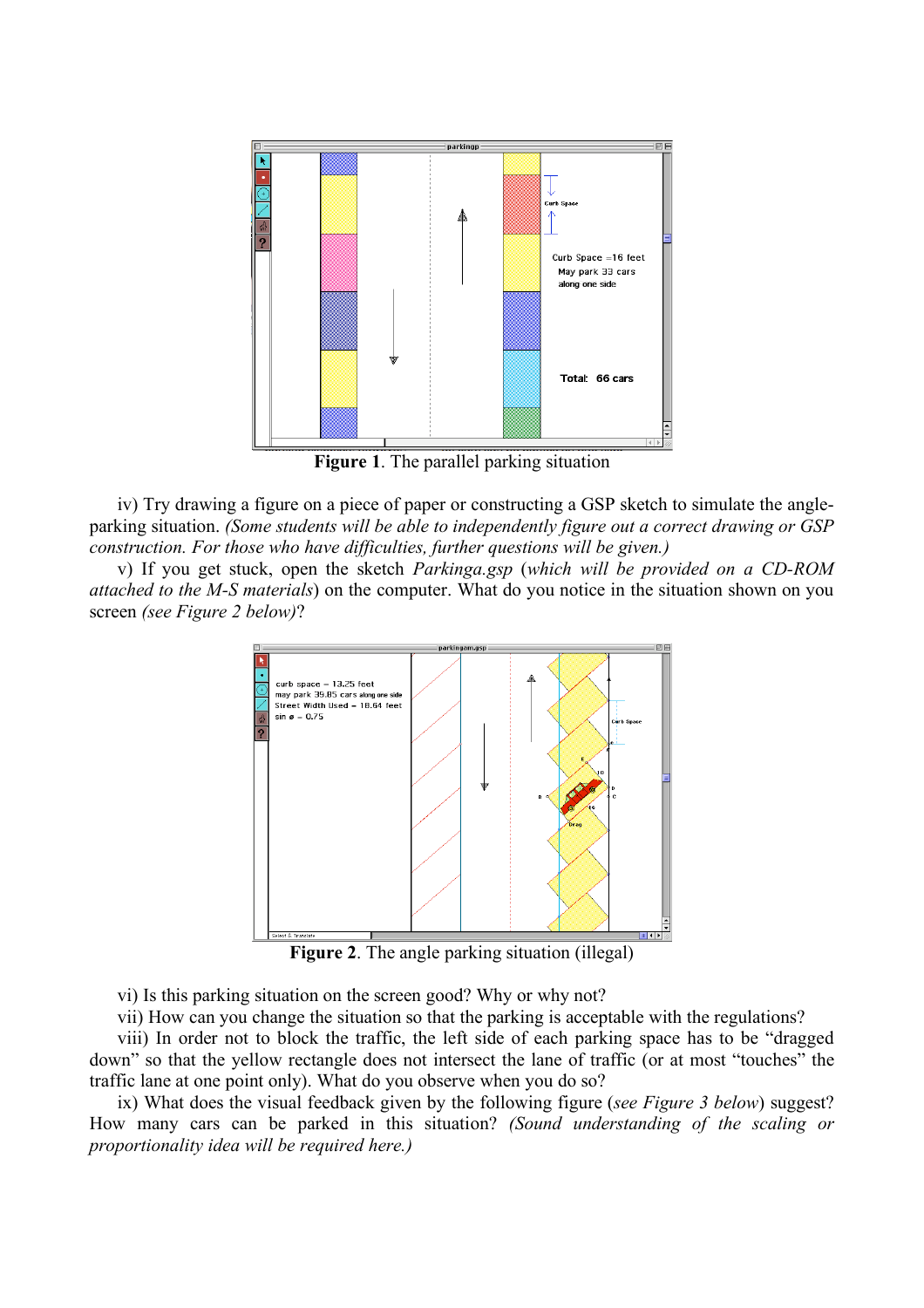

**Figure 1**. The parallel parking situation

iv) Try drawing a figure on a piece of paper or constructing a GSP sketch to simulate the angleparking situation. *(Some students will be able to independently figure out a correct drawing or GSP construction. For those who have difficulties, further questions will be given.)*

v) If you get stuck, open the sketch *Parkinga.gsp* (*which will be provided on a CD-ROM attached to the M-S materials*) on the computer. What do you notice in the situation shown on you screen *(see Figure 2 below)*?



**Figure 2**. The angle parking situation (illegal)

vi) Is this parking situation on the screen good? Why or why not?

vii) How can you change the situation so that the parking is acceptable with the regulations?

viii) In order not to block the traffic, the left side of each parking space has to be "dragged down" so that the yellow rectangle does not intersect the lane of traffic (or at most "touches" the traffic lane at one point only). What do you observe when you do so?

ix) What does the visual feedback given by the following figure (*see Figure 3 below*) suggest? How many cars can be parked in this situation? *(Sound understanding of the scaling or proportionality idea will be required here.)*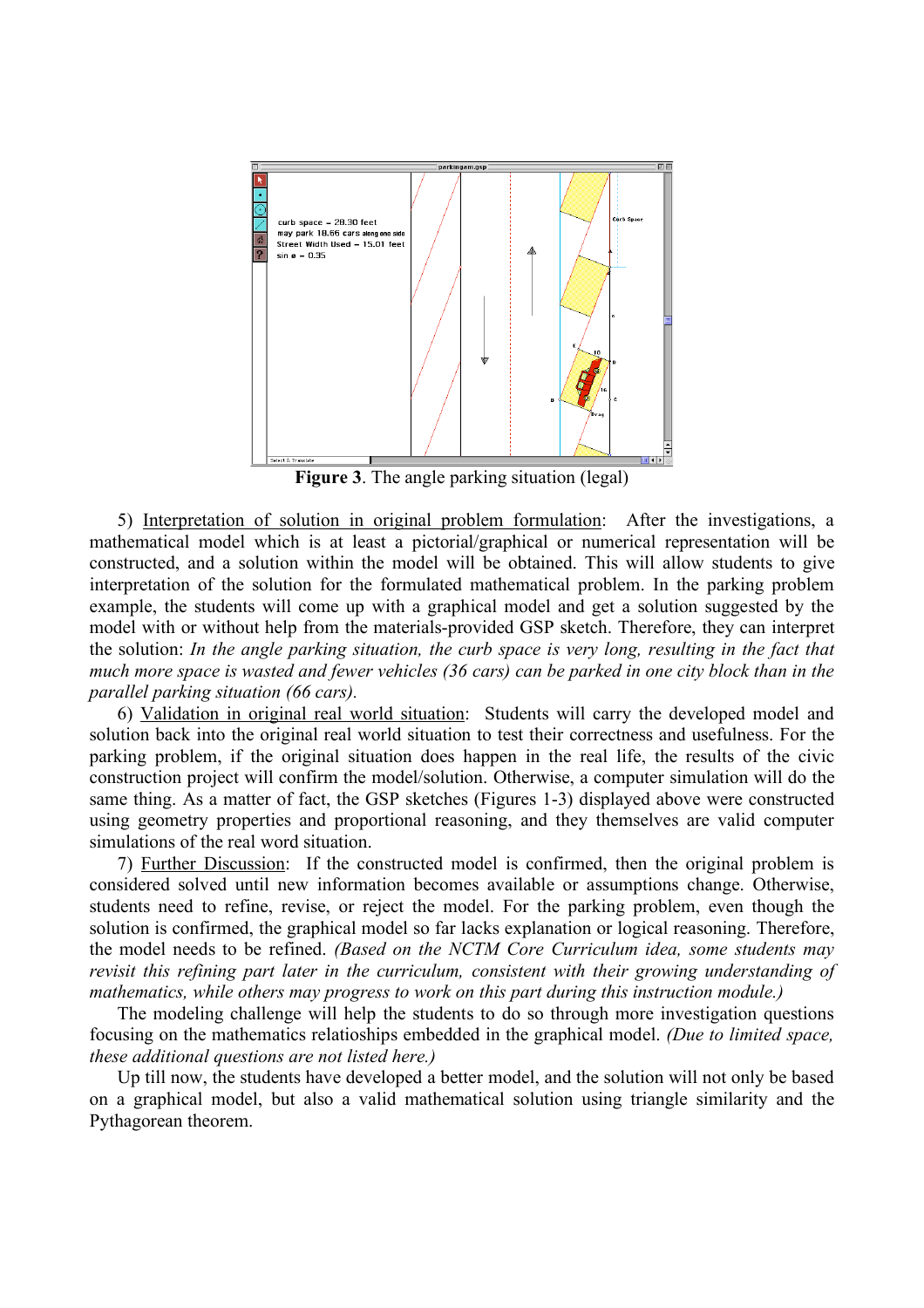

**Figure 3**. The angle parking situation (legal)

5) Interpretation of solution in original problem formulation: After the investigations, a mathematical model which is at least a pictorial/graphical or numerical representation will be constructed, and a solution within the model will be obtained. This will allow students to give interpretation of the solution for the formulated mathematical problem. In the parking problem example, the students will come up with a graphical model and get a solution suggested by the model with or without help from the materials-provided GSP sketch. Therefore, they can interpret the solution: *In the angle parking situation, the curb space is very long, resulting in the fact that much more space is wasted and fewer vehicles (36 cars) can be parked in one city block than in the parallel parking situation (66 cars).*

6) Validation in original real world situation: Students will carry the developed model and solution back into the original real world situation to test their correctness and usefulness. For the parking problem, if the original situation does happen in the real life, the results of the civic construction project will confirm the model/solution. Otherwise, a computer simulation will do the same thing. As a matter of fact, the GSP sketches (Figures 1-3) displayed above were constructed using geometry properties and proportional reasoning, and they themselves are valid computer simulations of the real word situation.

7) Further Discussion: If the constructed model is confirmed, then the original problem is considered solved until new information becomes available or assumptions change. Otherwise, students need to refine, revise, or reject the model. For the parking problem, even though the solution is confirmed, the graphical model so far lacks explanation or logical reasoning. Therefore, the model needs to be refined. *(Based on the NCTM Core Curriculum idea, some students may revisit this refining part later in the curriculum, consistent with their growing understanding of mathematics, while others may progress to work on this part during this instruction module.)*

The modeling challenge will help the students to do so through more investigation questions focusing on the mathematics relatioships embedded in the graphical model. *(Due to limited space, these additional questions are not listed here.)*

Up till now, the students have developed a better model, and the solution will not only be based on a graphical model, but also a valid mathematical solution using triangle similarity and the Pythagorean theorem.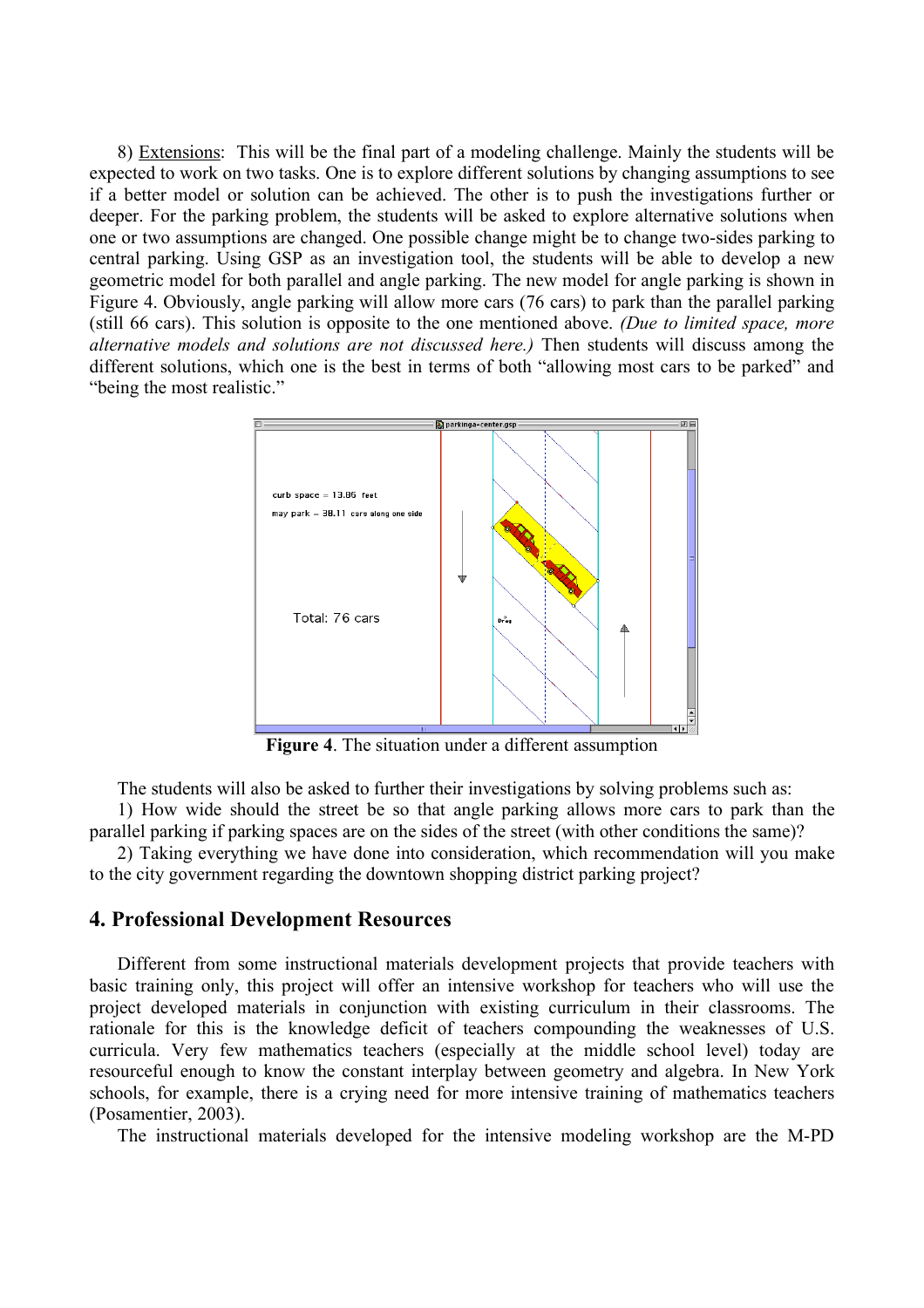8) Extensions: This will be the final part of a modeling challenge. Mainly the students will be expected to work on two tasks. One is to explore different solutions by changing assumptions to see if a better model or solution can be achieved. The other is to push the investigations further or deeper. For the parking problem, the students will be asked to explore alternative solutions when one or two assumptions are changed. One possible change might be to change two-sides parking to central parking. Using GSP as an investigation tool, the students will be able to develop a new geometric model for both parallel and angle parking. The new model for angle parking is shown in Figure 4. Obviously, angle parking will allow more cars (76 cars) to park than the parallel parking (still 66 cars). This solution is opposite to the one mentioned above. *(Due to limited space, more alternative models and solutions are not discussed here.)* Then students will discuss among the different solutions, which one is the best in terms of both "allowing most cars to be parked" and "being the most realistic."



**Figure 4**. The situation under a different assumption

The students will also be asked to further their investigations by solving problems such as:

1) How wide should the street be so that angle parking allows more cars to park than the parallel parking if parking spaces are on the sides of the street (with other conditions the same)?

2) Taking everything we have done into consideration, which recommendation will you make to the city government regarding the downtown shopping district parking project?

### **4. Professional Development Resources**

Different from some instructional materials development projects that provide teachers with basic training only, this project will offer an intensive workshop for teachers who will use the project developed materials in conjunction with existing curriculum in their classrooms. The rationale for this is the knowledge deficit of teachers compounding the weaknesses of U.S. curricula. Very few mathematics teachers (especially at the middle school level) today are resourceful enough to know the constant interplay between geometry and algebra. In New York schools, for example, there is a crying need for more intensive training of mathematics teachers (Posamentier, 2003).

The instructional materials developed for the intensive modeling workshop are the M-PD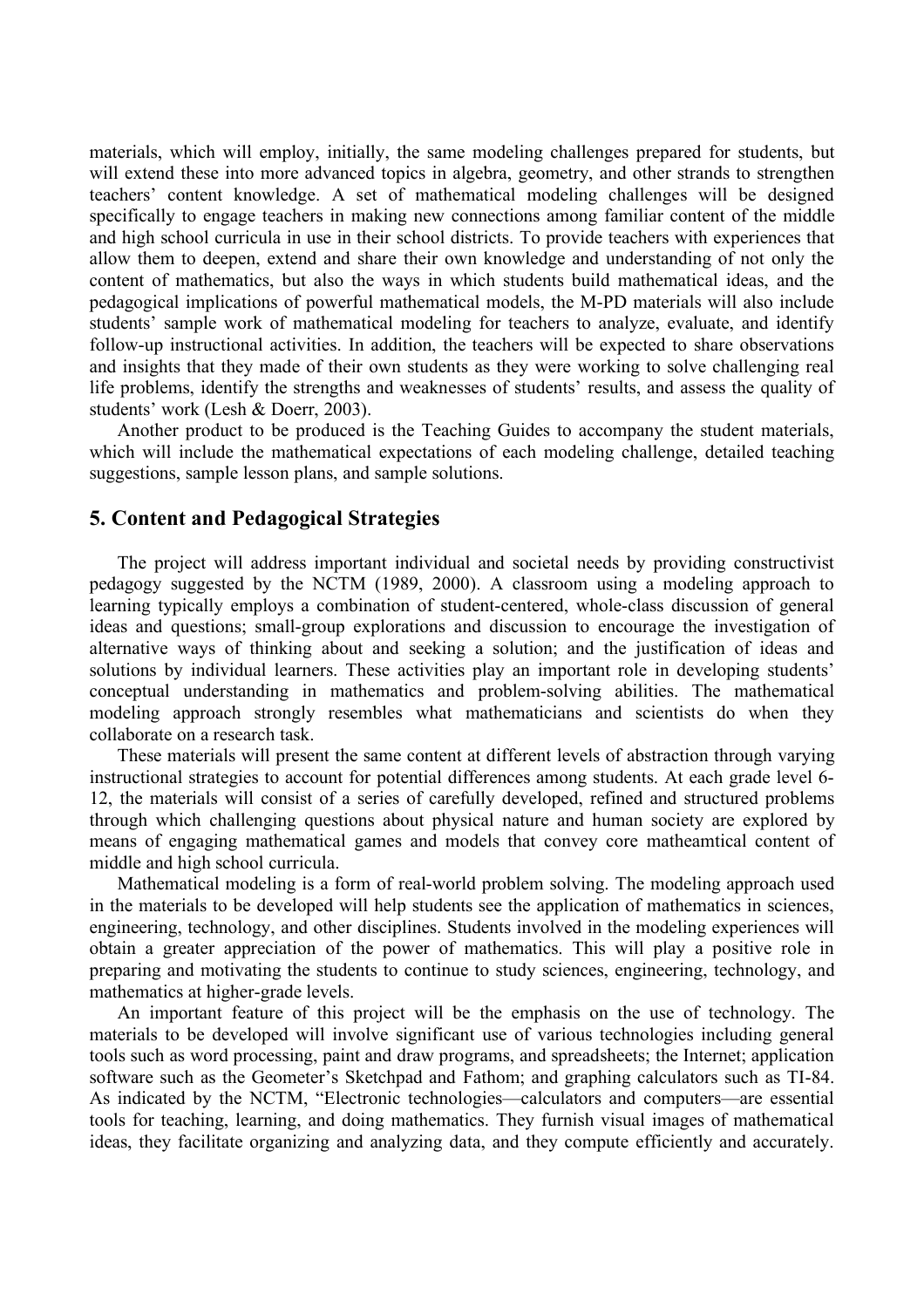materials, which will employ, initially, the same modeling challenges prepared for students, but will extend these into more advanced topics in algebra, geometry, and other strands to strengthen teachers' content knowledge. A set of mathematical modeling challenges will be designed specifically to engage teachers in making new connections among familiar content of the middle and high school curricula in use in their school districts. To provide teachers with experiences that allow them to deepen, extend and share their own knowledge and understanding of not only the content of mathematics, but also the ways in which students build mathematical ideas, and the pedagogical implications of powerful mathematical models, the M-PD materials will also include students' sample work of mathematical modeling for teachers to analyze, evaluate, and identify follow-up instructional activities. In addition, the teachers will be expected to share observations and insights that they made of their own students as they were working to solve challenging real life problems, identify the strengths and weaknesses of students' results, and assess the quality of students' work (Lesh & Doerr, 2003).

Another product to be produced is the Teaching Guides to accompany the student materials, which will include the mathematical expectations of each modeling challenge, detailed teaching suggestions, sample lesson plans, and sample solutions.

# **5. Content and Pedagogical Strategies**

The project will address important individual and societal needs by providing constructivist pedagogy suggested by the NCTM (1989, 2000). A classroom using a modeling approach to learning typically employs a combination of student-centered, whole-class discussion of general ideas and questions; small-group explorations and discussion to encourage the investigation of alternative ways of thinking about and seeking a solution; and the justification of ideas and solutions by individual learners. These activities play an important role in developing students' conceptual understanding in mathematics and problem-solving abilities. The mathematical modeling approach strongly resembles what mathematicians and scientists do when they collaborate on a research task.

These materials will present the same content at different levels of abstraction through varying instructional strategies to account for potential differences among students. At each grade level 6- 12, the materials will consist of a series of carefully developed, refined and structured problems through which challenging questions about physical nature and human society are explored by means of engaging mathematical games and models that convey core matheamtical content of middle and high school curricula.

Mathematical modeling is a form of real-world problem solving. The modeling approach used in the materials to be developed will help students see the application of mathematics in sciences, engineering, technology, and other disciplines. Students involved in the modeling experiences will obtain a greater appreciation of the power of mathematics. This will play a positive role in preparing and motivating the students to continue to study sciences, engineering, technology, and mathematics at higher-grade levels.

An important feature of this project will be the emphasis on the use of technology. The materials to be developed will involve significant use of various technologies including general tools such as word processing, paint and draw programs, and spreadsheets; the Internet; application software such as the Geometer's Sketchpad and Fathom; and graphing calculators such as TI-84. As indicated by the NCTM, "Electronic technologies—calculators and computers—are essential tools for teaching, learning, and doing mathematics. They furnish visual images of mathematical ideas, they facilitate organizing and analyzing data, and they compute efficiently and accurately.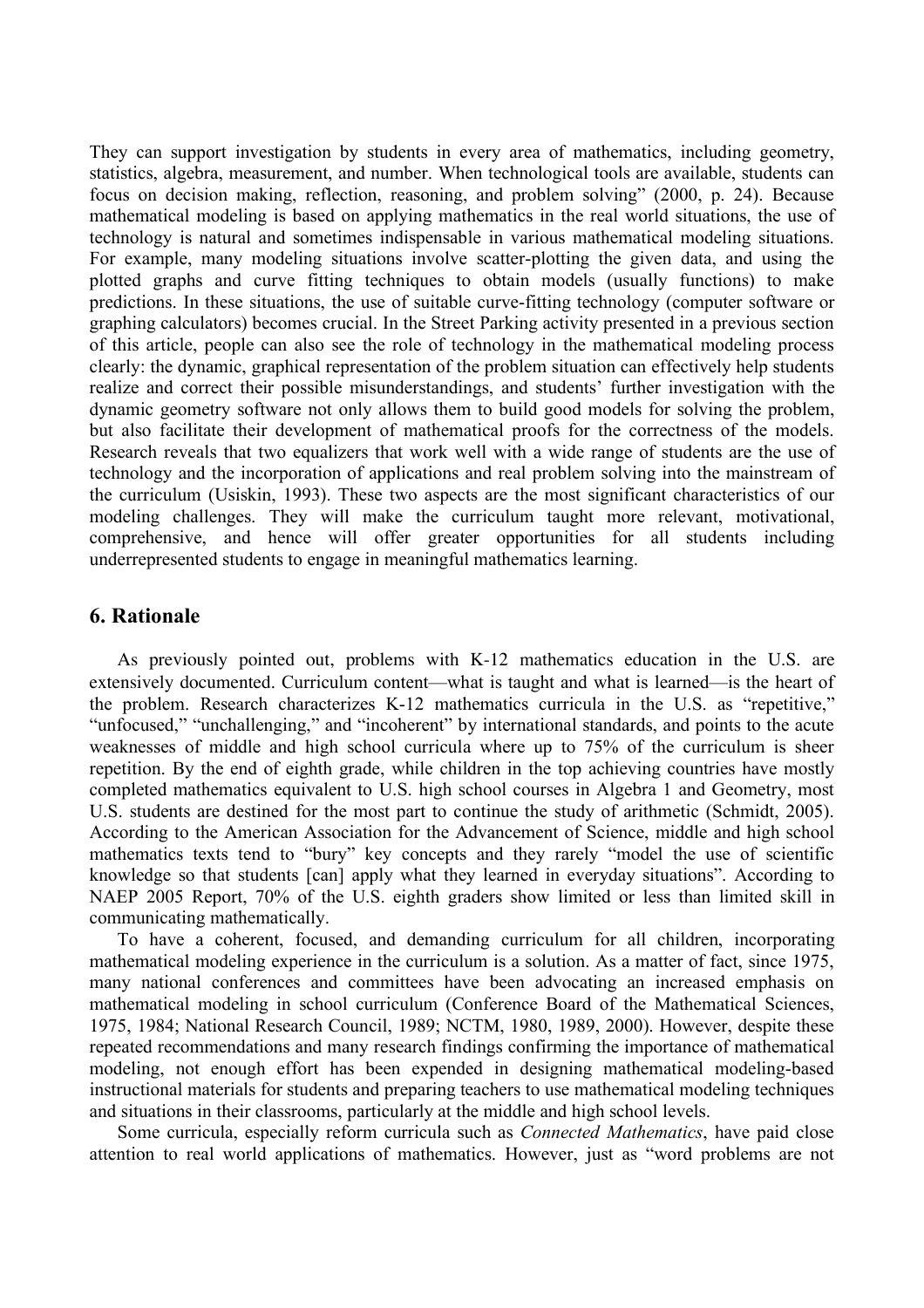They can support investigation by students in every area of mathematics, including geometry, statistics, algebra, measurement, and number. When technological tools are available, students can focus on decision making, reflection, reasoning, and problem solving" (2000, p. 24). Because mathematical modeling is based on applying mathematics in the real world situations, the use of technology is natural and sometimes indispensable in various mathematical modeling situations. For example, many modeling situations involve scatter-plotting the given data, and using the plotted graphs and curve fitting techniques to obtain models (usually functions) to make predictions. In these situations, the use of suitable curve-fitting technology (computer software or graphing calculators) becomes crucial. In the Street Parking activity presented in a previous section of this article, people can also see the role of technology in the mathematical modeling process clearly: the dynamic, graphical representation of the problem situation can effectively help students realize and correct their possible misunderstandings, and students' further investigation with the dynamic geometry software not only allows them to build good models for solving the problem, but also facilitate their development of mathematical proofs for the correctness of the models. Research reveals that two equalizers that work well with a wide range of students are the use of technology and the incorporation of applications and real problem solving into the mainstream of the curriculum (Usiskin, 1993). These two aspects are the most significant characteristics of our modeling challenges. They will make the curriculum taught more relevant, motivational, comprehensive, and hence will offer greater opportunities for all students including underrepresented students to engage in meaningful mathematics learning.

## **6. Rationale**

As previously pointed out, problems with K-12 mathematics education in the U.S. are extensively documented. Curriculum content—what is taught and what is learned—is the heart of the problem. Research characterizes K-12 mathematics curricula in the U.S. as "repetitive," "unfocused," "unchallenging," and "incoherent" by international standards, and points to the acute weaknesses of middle and high school curricula where up to 75% of the curriculum is sheer repetition. By the end of eighth grade, while children in the top achieving countries have mostly completed mathematics equivalent to U.S. high school courses in Algebra 1 and Geometry, most U.S. students are destined for the most part to continue the study of arithmetic (Schmidt, 2005). According to the American Association for the Advancement of Science, middle and high school mathematics texts tend to "bury" key concepts and they rarely "model the use of scientific knowledge so that students [can] apply what they learned in everyday situations". According to NAEP 2005 Report, 70% of the U.S. eighth graders show limited or less than limited skill in communicating mathematically.

To have a coherent, focused, and demanding curriculum for all children, incorporating mathematical modeling experience in the curriculum is a solution. As a matter of fact, since 1975, many national conferences and committees have been advocating an increased emphasis on mathematical modeling in school curriculum (Conference Board of the Mathematical Sciences, 1975, 1984; National Research Council, 1989; NCTM, 1980, 1989, 2000). However, despite these repeated recommendations and many research findings confirming the importance of mathematical modeling, not enough effort has been expended in designing mathematical modeling-based instructional materials for students and preparing teachers to use mathematical modeling techniques and situations in their classrooms, particularly at the middle and high school levels.

Some curricula, especially reform curricula such as *Connected Mathematics*, have paid close attention to real world applications of mathematics. However, just as "word problems are not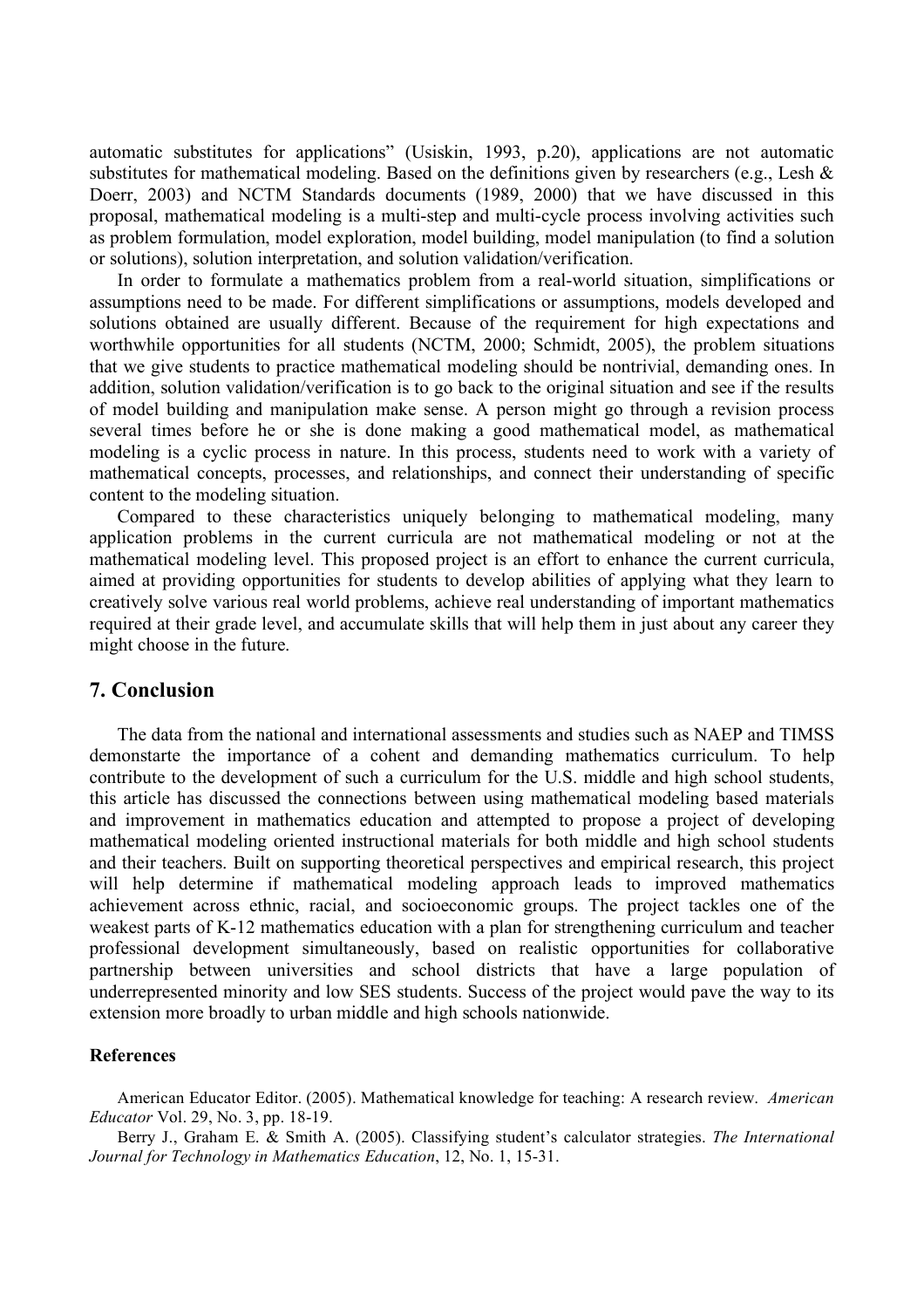automatic substitutes for applications" (Usiskin, 1993, p.20), applications are not automatic substitutes for mathematical modeling. Based on the definitions given by researchers (e.g., Lesh & Doerr, 2003) and NCTM Standards documents (1989, 2000) that we have discussed in this proposal, mathematical modeling is a multi-step and multi-cycle process involving activities such as problem formulation, model exploration, model building, model manipulation (to find a solution or solutions), solution interpretation, and solution validation/verification.

In order to formulate a mathematics problem from a real-world situation, simplifications or assumptions need to be made. For different simplifications or assumptions, models developed and solutions obtained are usually different. Because of the requirement for high expectations and worthwhile opportunities for all students (NCTM, 2000; Schmidt, 2005), the problem situations that we give students to practice mathematical modeling should be nontrivial, demanding ones. In addition, solution validation/verification is to go back to the original situation and see if the results of model building and manipulation make sense. A person might go through a revision process several times before he or she is done making a good mathematical model, as mathematical modeling is a cyclic process in nature. In this process, students need to work with a variety of mathematical concepts, processes, and relationships, and connect their understanding of specific content to the modeling situation.

Compared to these characteristics uniquely belonging to mathematical modeling, many application problems in the current curricula are not mathematical modeling or not at the mathematical modeling level. This proposed project is an effort to enhance the current curricula, aimed at providing opportunities for students to develop abilities of applying what they learn to creatively solve various real world problems, achieve real understanding of important mathematics required at their grade level, and accumulate skills that will help them in just about any career they might choose in the future.

# **7. Conclusion**

The data from the national and international assessments and studies such as NAEP and TIMSS demonstarte the importance of a cohent and demanding mathematics curriculum. To help contribute to the development of such a curriculum for the U.S. middle and high school students, this article has discussed the connections between using mathematical modeling based materials and improvement in mathematics education and attempted to propose a project of developing mathematical modeling oriented instructional materials for both middle and high school students and their teachers. Built on supporting theoretical perspectives and empirical research, this project will help determine if mathematical modeling approach leads to improved mathematics achievement across ethnic, racial, and socioeconomic groups. The project tackles one of the weakest parts of K-12 mathematics education with a plan for strengthening curriculum and teacher professional development simultaneously, based on realistic opportunities for collaborative partnership between universities and school districts that have a large population of underrepresented minority and low SES students. Success of the project would pave the way to its extension more broadly to urban middle and high schools nationwide.

#### **References**

American Educator Editor. (2005). Mathematical knowledge for teaching: A research review. *American Educator* Vol. 29, No. 3, pp. 18-19.

Berry J., Graham E. & Smith A. (2005). Classifying student's calculator strategies. *The International Journal for Technology in Mathematics Education*, 12, No. 1, 15-31.